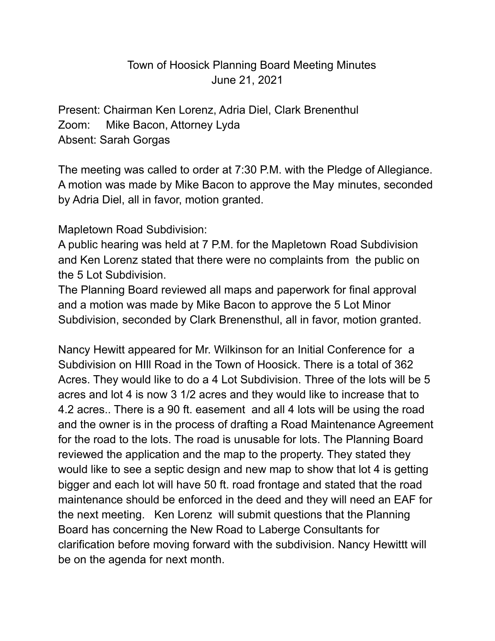## Town of Hoosick Planning Board Meeting Minutes June 21, 2021

Present: Chairman Ken Lorenz, Adria Diel, Clark Brenenthul Zoom: Mike Bacon, Attorney Lyda Absent: Sarah Gorgas

The meeting was called to order at 7:30 P.M. with the Pledge of Allegiance. A motion was made by Mike Bacon to approve the May minutes, seconded by Adria Diel, all in favor, motion granted.

## Mapletown Road Subdivision:

A public hearing was held at 7 P.M. for the Mapletown Road Subdivision and Ken Lorenz stated that there were no complaints from the public on the 5 Lot Subdivision.

The Planning Board reviewed all maps and paperwork for final approval and a motion was made by Mike Bacon to approve the 5 Lot Minor Subdivision, seconded by Clark Brenensthul, all in favor, motion granted.

Nancy Hewitt appeared for Mr. Wilkinson for an Initial Conference for a Subdivision on HIll Road in the Town of Hoosick. There is a total of 362 Acres. They would like to do a 4 Lot Subdivision. Three of the lots will be 5 acres and lot 4 is now 3 1/2 acres and they would like to increase that to 4.2 acres.. There is a 90 ft. easement and all 4 lots will be using the road and the owner is in the process of drafting a Road Maintenance Agreement for the road to the lots. The road is unusable for lots. The Planning Board reviewed the application and the map to the property. They stated they would like to see a septic design and new map to show that lot 4 is getting bigger and each lot will have 50 ft. road frontage and stated that the road maintenance should be enforced in the deed and they will need an EAF for the next meeting. Ken Lorenz will submit questions that the Planning Board has concerning the New Road to Laberge Consultants for clarification before moving forward with the subdivision. Nancy Hewittt will be on the agenda for next month.